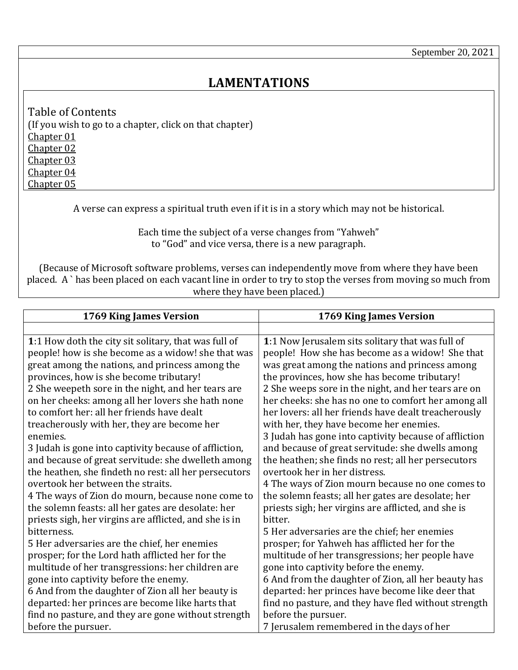## **LAMENTATIONS**

<span id="page-0-3"></span><span id="page-0-2"></span><span id="page-0-1"></span>Table of Contents (If you wish to go to a chapter, click on that chapter) [Chapter 01](#page-0-0) [Chapter 02](#page-2-0) [Chapter 03](#page-4-0) [Chapter 04](#page-7-0) [Chapter 05](#page-9-0)

<span id="page-0-5"></span><span id="page-0-4"></span>A verse can express a spiritual truth even if it is in a story which may not be historical.

Each time the subject of a verse changes from "Yahweh" to "God" and vice versa, there is a new paragraph.

(Because of Microsoft software problems, verses can independently move from where they have been placed. A ` has been placed on each vacant line in order to try to stop the verses from moving so much from where they have been placed.)

<span id="page-0-0"></span>

| 1769 King James Version                                | 1769 King James Version                               |
|--------------------------------------------------------|-------------------------------------------------------|
|                                                        |                                                       |
| 1:1 How doth the city sit solitary, that was full of   | 1:1 Now Jerusalem sits solitary that was full of      |
| people! how is she become as a widow! she that was     | people! How she has become as a widow! She that       |
| great among the nations, and princess among the        | was great among the nations and princess among        |
| provinces, how is she become tributary!                | the provinces, how she has become tributary!          |
| 2 She weepeth sore in the night, and her tears are     | 2 She weeps sore in the night, and her tears are on   |
| on her cheeks: among all her lovers she hath none      | her cheeks: she has no one to comfort her among all   |
| to comfort her: all her friends have dealt             | her lovers: all her friends have dealt treacherously  |
| treacherously with her, they are become her            | with her, they have become her enemies.               |
| enemies.                                               | 3 Judah has gone into captivity because of affliction |
| 3 Judah is gone into captivity because of affliction,  | and because of great servitude: she dwells among      |
| and because of great servitude: she dwelleth among     | the heathen; she finds no rest; all her persecutors   |
| the heathen, she findeth no rest: all her persecutors  | overtook her in her distress.                         |
| overtook her between the straits.                      | 4 The ways of Zion mourn because no one comes to      |
| 4 The ways of Zion do mourn, because none come to      | the solemn feasts; all her gates are desolate; her    |
| the solemn feasts: all her gates are desolate: her     | priests sigh; her virgins are afflicted, and she is   |
| priests sigh, her virgins are afflicted, and she is in | bitter.                                               |
| bitterness.                                            | 5 Her adversaries are the chief; her enemies          |
| 5 Her adversaries are the chief, her enemies           | prosper; for Yahweh has afflicted her for the         |
| prosper; for the Lord hath afflicted her for the       | multitude of her transgressions; her people have      |
| multitude of her transgressions: her children are      | gone into captivity before the enemy.                 |
| gone into captivity before the enemy.                  | 6 And from the daughter of Zion, all her beauty has   |
| 6 And from the daughter of Zion all her beauty is      | departed: her princes have become like deer that      |
| departed: her princes are become like harts that       | find no pasture, and they have fled without strength  |
| find no pasture, and they are gone without strength    | before the pursuer.                                   |
| before the pursuer.                                    | 7 Jerusalem remembered in the days of her             |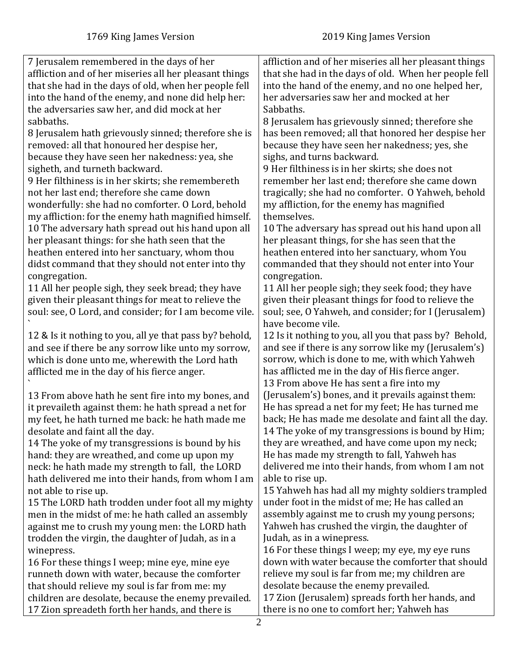| 7 Jerusalem remembered in the days of her               | affliction and of her miseries all her pleasant things |
|---------------------------------------------------------|--------------------------------------------------------|
| affliction and of her miseries all her pleasant things  | that she had in the days of old. When her people fell  |
| that she had in the days of old, when her people fell   | into the hand of the enemy, and no one helped her,     |
| into the hand of the enemy, and none did help her:      | her adversaries saw her and mocked at her              |
| the adversaries saw her, and did mock at her            | Sabbaths.                                              |
| sabbaths.                                               |                                                        |
|                                                         | 8 Jerusalem has grievously sinned; therefore she       |
| 8 Jerusalem hath grievously sinned; therefore she is    | has been removed; all that honored her despise her     |
| removed: all that honoured her despise her,             | because they have seen her nakedness; yes, she         |
| because they have seen her nakedness: yea, she          | sighs, and turns backward.                             |
| sigheth, and turneth backward.                          | 9 Her filthiness is in her skirts; she does not        |
| 9 Her filthiness is in her skirts; she remembereth      | remember her last end; therefore she came down         |
| not her last end; therefore she came down               | tragically; she had no comforter. O Yahweh, behold     |
| wonderfully: she had no comforter. O Lord, behold       | my affliction, for the enemy has magnified             |
| my affliction: for the enemy hath magnified himself.    | themselves.                                            |
| 10 The adversary hath spread out his hand upon all      | 10 The adversary has spread out his hand upon all      |
| her pleasant things: for she hath seen that the         | her pleasant things, for she has seen that the         |
| heathen entered into her sanctuary, whom thou           | heathen entered into her sanctuary, whom You           |
| didst command that they should not enter into thy       | commanded that they should not enter into Your         |
| congregation.                                           | congregation.                                          |
| 11 All her people sigh, they seek bread; they have      | 11 All her people sigh; they seek food; they have      |
| given their pleasant things for meat to relieve the     | given their pleasant things for food to relieve the    |
| soul: see, O Lord, and consider; for I am become vile.  | soul; see, O Yahweh, and consider; for I (Jerusalem)   |
|                                                         | have become vile.                                      |
| 12 & Is it nothing to you, all ye that pass by? behold, | 12 Is it nothing to you, all you that pass by? Behold, |
| and see if there be any sorrow like unto my sorrow,     | and see if there is any sorrow like my (Jerusalem's)   |
| which is done unto me, wherewith the Lord hath          | sorrow, which is done to me, with which Yahweh         |
| afflicted me in the day of his fierce anger.            | has afflicted me in the day of His fierce anger.       |
|                                                         | 13 From above He has sent a fire into my               |
| 13 From above hath he sent fire into my bones, and      | (Jerusalem's) bones, and it prevails against them:     |
| it prevaileth against them: he hath spread a net for    | He has spread a net for my feet; He has turned me      |
| my feet, he hath turned me back: he hath made me        | back; He has made me desolate and faint all the day.   |
| desolate and faint all the day.                         | 14 The yoke of my transgressions is bound by Him;      |
| 14 The yoke of my transgressions is bound by his        | they are wreathed, and have come upon my neck;         |
| hand: they are wreathed, and come up upon my            | He has made my strength to fall, Yahweh has            |
| neck: he hath made my strength to fall, the LORD        | delivered me into their hands, from whom I am not      |
| hath delivered me into their hands, from whom I am      | able to rise up.                                       |
| not able to rise up.                                    | 15 Yahweh has had all my mighty soldiers trampled      |
| 15 The LORD hath trodden under foot all my mighty       | under foot in the midst of me; He has called an        |
| men in the midst of me: he hath called an assembly      | assembly against me to crush my young persons;         |
| against me to crush my young men: the LORD hath         | Yahweh has crushed the virgin, the daughter of         |
| trodden the virgin, the daughter of Judah, as in a      | Judah, as in a winepress.                              |
| winepress.                                              | 16 For these things I weep; my eye, my eye runs        |
| 16 For these things I weep; mine eye, mine eye          | down with water because the comforter that should      |
| runneth down with water, because the comforter          | relieve my soul is far from me; my children are        |
| that should relieve my soul is far from me: my          | desolate because the enemy prevailed.                  |
| children are desolate, because the enemy prevailed.     | 17 Zion (Jerusalem) spreads forth her hands, and       |
| 17 Zion spreadeth forth her hands, and there is         | there is no one to comfort her; Yahweh has             |
|                                                         | ◠                                                      |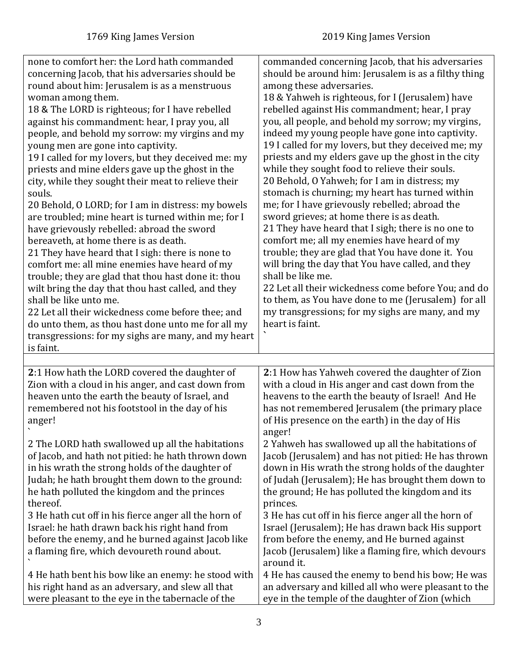4 He has caused the enemy to bend his bow; He was an adversary and killed all who were pleasant to the eye in the temple of the daughter of Zion (which

| none to comfort her: the Lord hath commanded<br>concerning Jacob, that his adversaries should be<br>round about him: Jerusalem is as a menstruous<br>woman among them.<br>18 & The LORD is righteous; for I have rebelled<br>against his commandment: hear, I pray you, all<br>people, and behold my sorrow: my virgins and my<br>young men are gone into captivity.<br>19 I called for my lovers, but they deceived me: my<br>priests and mine elders gave up the ghost in the<br>city, while they sought their meat to relieve their<br>souls.<br>20 Behold, O LORD; for I am in distress: my bowels<br>are troubled; mine heart is turned within me; for I<br>have grievously rebelled: abroad the sword<br>bereaveth, at home there is as death.<br>21 They have heard that I sigh: there is none to<br>comfort me: all mine enemies have heard of my<br>trouble; they are glad that thou hast done it: thou<br>wilt bring the day that thou hast called, and they<br>shall be like unto me.<br>22 Let all their wickedness come before thee; and<br>do unto them, as thou hast done unto me for all my<br>transgressions: for my sighs are many, and my heart<br>is faint. | commanded concerning Jacob, that his adversaries<br>should be around him: Jerusalem is as a filthy thing<br>among these adversaries.<br>18 & Yahweh is righteous, for I (Jerusalem) have<br>rebelled against His commandment; hear, I pray<br>you, all people, and behold my sorrow; my virgins,<br>indeed my young people have gone into captivity.<br>19 I called for my lovers, but they deceived me; my<br>priests and my elders gave up the ghost in the city<br>while they sought food to relieve their souls.<br>20 Behold, O Yahweh; for I am in distress; my<br>stomach is churning; my heart has turned within<br>me; for I have grievously rebelled; abroad the<br>sword grieves; at home there is as death.<br>21 They have heard that I sigh; there is no one to<br>comfort me; all my enemies have heard of my<br>trouble; they are glad that You have done it. You<br>will bring the day that You have called, and they<br>shall be like me.<br>22 Let all their wickedness come before You; and do<br>to them, as You have done to me (Jerusalem) for all<br>my transgressions; for my sighs are many, and my<br>heart is faint. |
|---------------------------------------------------------------------------------------------------------------------------------------------------------------------------------------------------------------------------------------------------------------------------------------------------------------------------------------------------------------------------------------------------------------------------------------------------------------------------------------------------------------------------------------------------------------------------------------------------------------------------------------------------------------------------------------------------------------------------------------------------------------------------------------------------------------------------------------------------------------------------------------------------------------------------------------------------------------------------------------------------------------------------------------------------------------------------------------------------------------------------------------------------------------------------------|--------------------------------------------------------------------------------------------------------------------------------------------------------------------------------------------------------------------------------------------------------------------------------------------------------------------------------------------------------------------------------------------------------------------------------------------------------------------------------------------------------------------------------------------------------------------------------------------------------------------------------------------------------------------------------------------------------------------------------------------------------------------------------------------------------------------------------------------------------------------------------------------------------------------------------------------------------------------------------------------------------------------------------------------------------------------------------------------------------------------------------------------------|
|                                                                                                                                                                                                                                                                                                                                                                                                                                                                                                                                                                                                                                                                                                                                                                                                                                                                                                                                                                                                                                                                                                                                                                                 |                                                                                                                                                                                                                                                                                                                                                                                                                                                                                                                                                                                                                                                                                                                                                                                                                                                                                                                                                                                                                                                                                                                                                  |
| 2:1 How hath the LORD covered the daughter of<br>Zion with a cloud in his anger, and cast down from<br>heaven unto the earth the beauty of Israel, and<br>remembered not his footstool in the day of his<br>anger!                                                                                                                                                                                                                                                                                                                                                                                                                                                                                                                                                                                                                                                                                                                                                                                                                                                                                                                                                              | 2:1 How has Yahweh covered the daughter of Zion<br>with a cloud in His anger and cast down from the<br>heavens to the earth the beauty of Israel! And He<br>has not remembered Jerusalem (the primary place<br>of His presence on the earth) in the day of His<br>anger!                                                                                                                                                                                                                                                                                                                                                                                                                                                                                                                                                                                                                                                                                                                                                                                                                                                                         |
| 2 The LORD hath swallowed up all the habitations<br>of Jacob, and hath not pitied: he hath thrown down<br>in his wrath the strong holds of the daughter of<br>Judah; he hath brought them down to the ground:<br>he hath polluted the kingdom and the princes<br>thereof.<br>3 He hath cut off in his fierce anger all the horn of<br>Israel: he hath drawn back his right hand from                                                                                                                                                                                                                                                                                                                                                                                                                                                                                                                                                                                                                                                                                                                                                                                            | 2 Yahweh has swallowed up all the habitations of<br>Jacob (Jerusalem) and has not pitied: He has thrown<br>down in His wrath the strong holds of the daughter<br>of Judah (Jerusalem); He has brought them down to<br>the ground; He has polluted the kingdom and its<br>princes.<br>3 He has cut off in his fierce anger all the horn of<br>Israel (Jerusalem); He has drawn back His support                                                                                                                                                                                                                                                                                                                                                                                                                                                                                                                                                                                                                                                                                                                                                   |

<span id="page-2-0"></span>Israel: he hath drawn back his right hand from before the enemy, and he burned against Jacob like a flaming fire, which devoureth round about. ` from before the enemy, and He burned against Jacob (Jerusalem) like a flaming fire, which devours around it.

4 He hath bent his bow like an enemy: he stood with his right hand as an adversary, and slew all that were pleasant to the eye in the tabernacle of the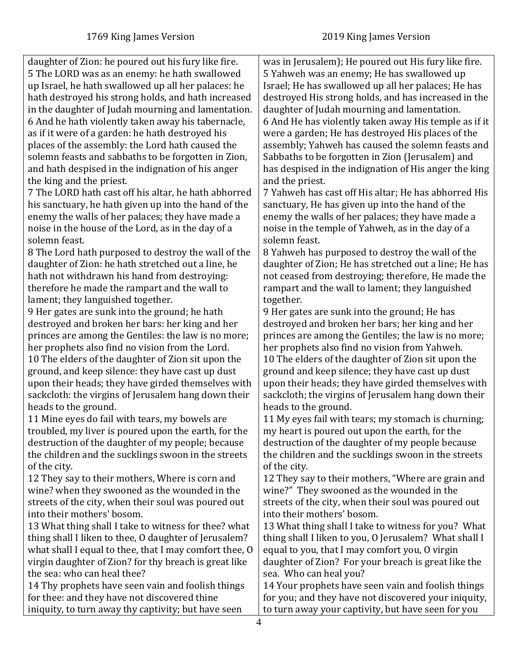daughter of Zion: he poured out his fury like fire. 5 The LORD was as an enemy: he hath swallowed up Israel, he hath swallowed up all her palaces: he hath destroyed his strong holds, and hath increased in the daughter of Judah mourning and lamentation. 6 And he hath violently taken away his tabernacle, as if it were of a garden: he hath destroyed his places of the assembly: the Lord hath caused the solemn feasts and sabbaths to be forgotten in Zion, and hath despised in the indignation of his anger the king and the priest.

7 The LORD hath cast off his altar, he hath abhorred his sanctuary, he hath given up into the hand of the enemy the walls of her palaces; they have made a noise in the house of the Lord, as in the day of a solemn feast.

8 The Lord hath purposed to destroy the wall of the daughter of Zion: he hath stretched out a line, he hath not withdrawn his hand from destroying: therefore he made the rampart and the wall to lament; they languished together.

9 Her gates are sunk into the ground; he hath destroyed and broken her bars: her king and her princes are among the Gentiles: the law is no more; her prophets also find no vision from the Lord. 10 The elders of the daughter of Zion sit upon the ground, and keep silence: they have cast up dust upon their heads; they have girded themselves with sackcloth: the virgins of Jerusalem hang down their heads to the ground.

11 Mine eyes do fail with tears, my bowels are troubled, my liver is poured upon the earth, for the destruction of the daughter of my people; because the children and the sucklings swoon in the streets of the city.

12 They say to their mothers, Where is corn and wine? when they swooned as the wounded in the streets of the city, when their soul was poured out into their mothers' bosom.

13 What thing shall I take to witness for thee? what thing shall I liken to thee, O daughter of Jerusalem? what shall I equal to thee, that I may comfort thee, O virgin daughter of Zion? for thy breach is great like the sea: who can heal thee?

14 Thy prophets have seen vain and foolish things for thee: and they have not discovered thine iniquity, to turn away thy captivity; but have seen

was in Jerusalem); He poured out His fury like fire. 5 Yahweh was an enemy; He has swallowed up Israel; He has swallowed up all her palaces; He has destroyed His strong holds, and has increased in the daughter of Judah mourning and lamentation. 6 And He has violently taken away His temple as if it were a garden; He has destroyed His places of the assembly; Yahweh has caused the solemn feasts and Sabbaths to be forgotten in Zion (Jerusalem) and has despised in the indignation of His anger the king and the priest.

7 Yahweh has cast off His altar; He has abhorred His sanctuary, He has given up into the hand of the enemy the walls of her palaces; they have made a noise in the temple of Yahweh, as in the day of a solemn feast.

8 Yahweh has purposed to destroy the wall of the daughter of Zion; He has stretched out a line; He has not ceased from destroying; therefore, He made the rampart and the wall to lament; they languished together.

9 Her gates are sunk into the ground; He has destroyed and broken her bars; her king and her princes are among the Gentiles; the law is no more; her prophets also find no vision from Yahweh. 10 The elders of the daughter of Zion sit upon the ground and keep silence; they have cast up dust upon their heads; they have girded themselves with sackcloth; the virgins of Jerusalem hang down their heads to the ground.

11 My eyes fail with tears; my stomach is churning; my heart is poured out upon the earth, for the destruction of the daughter of my people because the children and the sucklings swoon in the streets of the city.

12 They say to their mothers, "Where are grain and wine?" They swooned as the wounded in the streets of the city, when their soul was poured out into their mothers' bosom.

13 What thing shall I take to witness for you? What thing shall I liken to you, O Jerusalem? What shall I equal to you, that I may comfort you, O virgin daughter of Zion? For your breach is great like the sea. Who can heal you?

14 Your prophets have seen vain and foolish things for you; and they have not discovered your iniquity, to turn away your captivity, but have seen for you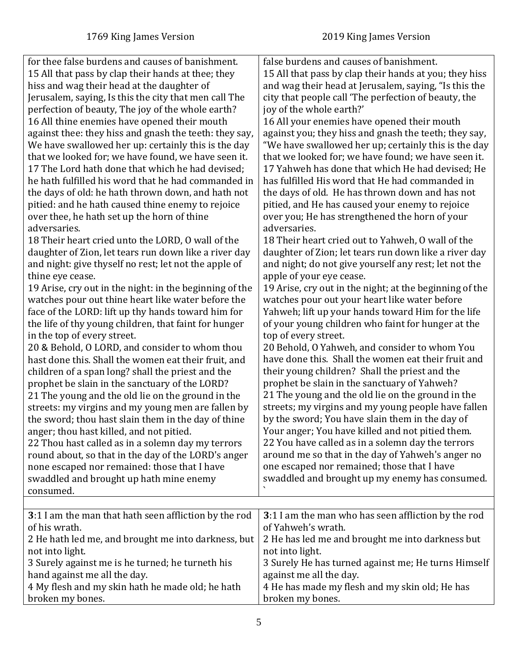<span id="page-4-0"></span>

| false burdens and causes of banishment.<br>15 All that pass by clap their hands at thee; they<br>hiss and wag their head at the daughter of<br>Jerusalem, saying, Is this the city that men call The<br>city that people call 'The perfection of beauty, the<br>perfection of beauty, The joy of the whole earth?<br>joy of the whole earth?'<br>16 All thine enemies have opened their mouth<br>16 All your enemies have opened their mouth<br>against thee: they hiss and gnash the teeth: they say,<br>We have swallowed her up: certainly this is the day<br>that we looked for; we have found, we have seen it.<br>17 The Lord hath done that which he had devised;<br>he hath fulfilled his word that he had commanded in<br>has fulfilled His word that He had commanded in<br>the days of old: he hath thrown down, and hath not<br>the days of old. He has thrown down and has not<br>pitied: and he hath caused thine enemy to rejoice<br>pitied, and He has caused your enemy to rejoice<br>over thee, he hath set up the horn of thine<br>over you; He has strengthened the horn of your<br>adversaries.<br>adversaries.<br>18 Their heart cried unto the LORD, O wall of the<br>18 Their heart cried out to Yahweh, O wall of the<br>daughter of Zion, let tears run down like a river day<br>and night: give thyself no rest; let not the apple of<br>and night; do not give yourself any rest; let not the<br>thine eye cease.<br>apple of your eye cease.<br>19 Arise, cry out in the night: in the beginning of the<br>watches pour out thine heart like water before the<br>watches pour out your heart like water before<br>face of the LORD: lift up thy hands toward him for<br>Yahweh; lift up your hands toward Him for the life<br>of your young children who faint for hunger at the<br>the life of thy young children, that faint for hunger<br>in the top of every street.<br>top of every street.<br>20 & Behold, O LORD, and consider to whom thou<br>20 Behold, O Yahweh, and consider to whom You<br>have done this. Shall the women eat their fruit and<br>hast done this. Shall the women eat their fruit, and<br>their young children? Shall the priest and the<br>children of a span long? shall the priest and the<br>prophet be slain in the sanctuary of Yahweh?<br>prophet be slain in the sanctuary of the LORD?<br>21 The young and the old lie on the ground in the<br>21 The young and the old lie on the ground in the<br>streets: my virgins and my young men are fallen by<br>by the sword; You have slain them in the day of<br>the sword; thou hast slain them in the day of thine<br>Your anger; You have killed and not pitied them.<br>anger; thou hast killed, and not pitied.<br>22 You have called as in a solemn day the terrors<br>22 Thou hast called as in a solemn day my terrors<br>around me so that in the day of Yahweh's anger no<br>round about, so that in the day of the LORD's anger<br>one escaped nor remained; those that I have<br>none escaped nor remained: those that I have<br>swaddled and brought up hath mine enemy<br>consumed.<br>3:1 I am the man that hath seen affliction by the rod<br>of Yahweh's wrath.<br>of his wrath. |                                                  |                                                                                                                                                                                                                                                                                                                                                                                                                                                                                                                                                                          |
|-----------------------------------------------------------------------------------------------------------------------------------------------------------------------------------------------------------------------------------------------------------------------------------------------------------------------------------------------------------------------------------------------------------------------------------------------------------------------------------------------------------------------------------------------------------------------------------------------------------------------------------------------------------------------------------------------------------------------------------------------------------------------------------------------------------------------------------------------------------------------------------------------------------------------------------------------------------------------------------------------------------------------------------------------------------------------------------------------------------------------------------------------------------------------------------------------------------------------------------------------------------------------------------------------------------------------------------------------------------------------------------------------------------------------------------------------------------------------------------------------------------------------------------------------------------------------------------------------------------------------------------------------------------------------------------------------------------------------------------------------------------------------------------------------------------------------------------------------------------------------------------------------------------------------------------------------------------------------------------------------------------------------------------------------------------------------------------------------------------------------------------------------------------------------------------------------------------------------------------------------------------------------------------------------------------------------------------------------------------------------------------------------------------------------------------------------------------------------------------------------------------------------------------------------------------------------------------------------------------------------------------------------------------------------------------------------------------------------------------------------------------------------------------------------------------------------------------------------------------------------------------------------------------------------------------------------------------------------------------------------------------------------------------------------------------------------------------------------------------------------------------------------------------------------------------------------------------------|--------------------------------------------------|--------------------------------------------------------------------------------------------------------------------------------------------------------------------------------------------------------------------------------------------------------------------------------------------------------------------------------------------------------------------------------------------------------------------------------------------------------------------------------------------------------------------------------------------------------------------------|
|                                                                                                                                                                                                                                                                                                                                                                                                                                                                                                                                                                                                                                                                                                                                                                                                                                                                                                                                                                                                                                                                                                                                                                                                                                                                                                                                                                                                                                                                                                                                                                                                                                                                                                                                                                                                                                                                                                                                                                                                                                                                                                                                                                                                                                                                                                                                                                                                                                                                                                                                                                                                                                                                                                                                                                                                                                                                                                                                                                                                                                                                                                                                                                                                                 | for thee false burdens and causes of banishment. | 15 All that pass by clap their hands at you; they hiss<br>and wag their head at Jerusalem, saying, "Is this the<br>against you; they hiss and gnash the teeth; they say,<br>"We have swallowed her up; certainly this is the day<br>that we looked for; we have found; we have seen it.<br>17 Yahweh has done that which He had devised; He<br>daughter of Zion; let tears run down like a river day<br>19 Arise, cry out in the night; at the beginning of the<br>streets; my virgins and my young people have fallen<br>swaddled and brought up my enemy has consumed. |
|                                                                                                                                                                                                                                                                                                                                                                                                                                                                                                                                                                                                                                                                                                                                                                                                                                                                                                                                                                                                                                                                                                                                                                                                                                                                                                                                                                                                                                                                                                                                                                                                                                                                                                                                                                                                                                                                                                                                                                                                                                                                                                                                                                                                                                                                                                                                                                                                                                                                                                                                                                                                                                                                                                                                                                                                                                                                                                                                                                                                                                                                                                                                                                                                                 |                                                  |                                                                                                                                                                                                                                                                                                                                                                                                                                                                                                                                                                          |
| 2 He has led me and brought me into darkness but<br>2 He hath led me, and brought me into darkness, but<br>not into light.<br>not into light.<br>3 Surely against me is he turned; he turneth his<br>hand against me all the day.<br>against me all the day.<br>4 My flesh and my skin hath he made old; he hath<br>4 He has made my flesh and my skin old; He has<br>broken my bones.<br>broken my bones.                                                                                                                                                                                                                                                                                                                                                                                                                                                                                                                                                                                                                                                                                                                                                                                                                                                                                                                                                                                                                                                                                                                                                                                                                                                                                                                                                                                                                                                                                                                                                                                                                                                                                                                                                                                                                                                                                                                                                                                                                                                                                                                                                                                                                                                                                                                                                                                                                                                                                                                                                                                                                                                                                                                                                                                                      |                                                  | 3:1 I am the man who has seen affliction by the rod<br>3 Surely He has turned against me; He turns Himself                                                                                                                                                                                                                                                                                                                                                                                                                                                               |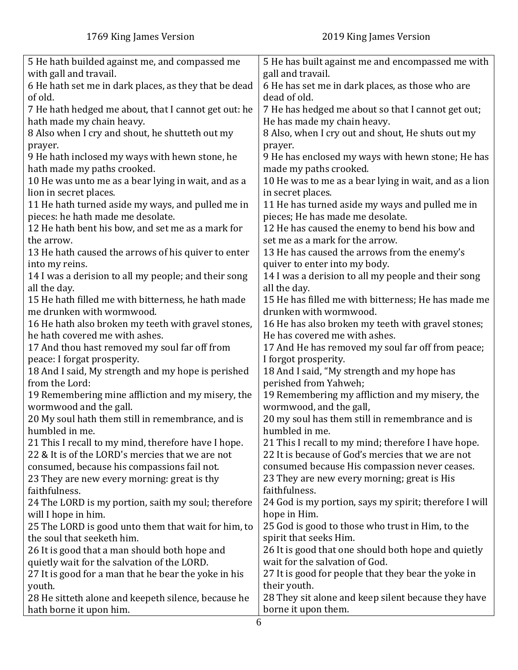| 5 He hath builded against me, and compassed me        | 5 He has built against me and encompassed me with      |
|-------------------------------------------------------|--------------------------------------------------------|
| with gall and travail.                                | gall and travail.                                      |
| 6 He hath set me in dark places, as they that be dead | 6 He has set me in dark places, as those who are       |
| of old.                                               | dead of old.                                           |
| 7 He hath hedged me about, that I cannot get out: he  | 7 He has hedged me about so that I cannot get out;     |
| hath made my chain heavy.                             | He has made my chain heavy.                            |
| 8 Also when I cry and shout, he shutteth out my       | 8 Also, when I cry out and shout, He shuts out my      |
| prayer.                                               | prayer.                                                |
| 9 He hath inclosed my ways with hewn stone, he        | 9 He has enclosed my ways with hewn stone; He has      |
| hath made my paths crooked.                           | made my paths crooked.                                 |
| 10 He was unto me as a bear lying in wait, and as a   | 10 He was to me as a bear lying in wait, and as a lion |
| lion in secret places.                                | in secret places.                                      |
| 11 He hath turned aside my ways, and pulled me in     | 11 He has turned aside my ways and pulled me in        |
| pieces: he hath made me desolate.                     | pieces; He has made me desolate.                       |
| 12 He hath bent his bow, and set me as a mark for     | 12 He has caused the enemy to bend his bow and         |
| the arrow.                                            | set me as a mark for the arrow.                        |
| 13 He hath caused the arrows of his quiver to enter   | 13 He has caused the arrows from the enemy's           |
| into my reins.                                        | quiver to enter into my body.                          |
| 14 I was a derision to all my people; and their song  | 14 I was a derision to all my people and their song    |
| all the day.                                          | all the day.                                           |
| 15 He hath filled me with bitterness, he hath made    | 15 He has filled me with bitterness; He has made me    |
| me drunken with wormwood.                             | drunken with wormwood.                                 |
| 16 He hath also broken my teeth with gravel stones,   | 16 He has also broken my teeth with gravel stones;     |
| he hath covered me with ashes.                        | He has covered me with ashes.                          |
| 17 And thou hast removed my soul far off from         | 17 And He has removed my soul far off from peace;      |
| peace: I forgat prosperity.                           | I forgot prosperity.                                   |
| 18 And I said, My strength and my hope is perished    | 18 And I said, "My strength and my hope has            |
| from the Lord:                                        | perished from Yahweh;                                  |
| 19 Remembering mine affliction and my misery, the     | 19 Remembering my affliction and my misery, the        |
| wormwood and the gall.                                | wormwood, and the gall,                                |
| 20 My soul hath them still in remembrance, and is     | 20 my soul has them still in remembrance and is        |
| humbled in me.                                        | humbled in me.                                         |
| 21 This I recall to my mind, therefore have I hope.   | 21 This I recall to my mind; therefore I have hope.    |
| 22 & It is of the LORD's mercies that we are not      | 22 It is because of God's mercies that we are not      |
| consumed, because his compassions fail not.           | consumed because His compassion never ceases.          |
| 23 They are new every morning: great is thy           | 23 They are new every morning; great is His            |
| faithfulness.                                         | faithfulness.                                          |
| 24 The LORD is my portion, saith my soul; therefore   | 24 God is my portion, says my spirit; therefore I will |
| will I hope in him.                                   | hope in Him.                                           |
| 25 The LORD is good unto them that wait for him, to   | 25 God is good to those who trust in Him, to the       |
| the soul that seeketh him.                            | spirit that seeks Him.                                 |
| 26 It is good that a man should both hope and         | 26 It is good that one should both hope and quietly    |
| quietly wait for the salvation of the LORD.           | wait for the salvation of God.                         |
| 27 It is good for a man that he bear the yoke in his  | 27 It is good for people that they bear the yoke in    |
| youth.                                                | their youth.                                           |
| 28 He sitteth alone and keepeth silence, because he   | 28 They sit alone and keep silent because they have    |
| hath borne it upon him.                               | borne it upon them.                                    |
|                                                       |                                                        |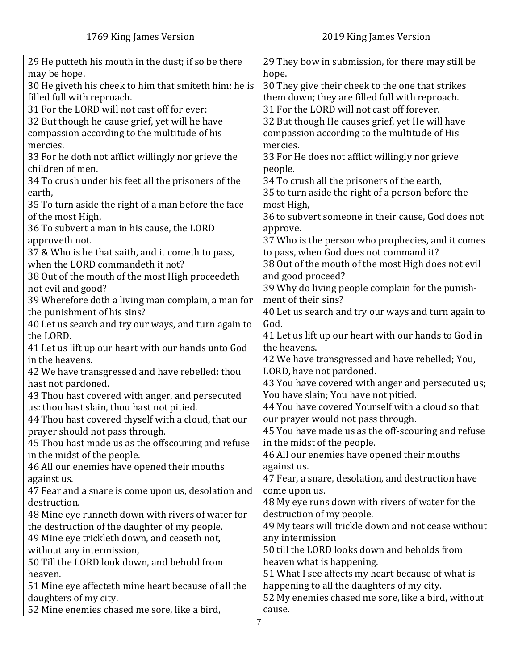| 29 He putteth his mouth in the dust; if so be there<br>29 They bow in submission, for there may still be<br>may be hope.<br>hope.<br>30 He giveth his cheek to him that smiteth him: he is<br>30 They give their cheek to the one that strikes<br>filled full with reproach.<br>them down; they are filled full with reproach.<br>31 For the LORD will not cast off for ever:<br>31 For the LORD will not cast off forever.<br>32 But though he cause grief, yet will he have<br>32 But though He causes grief, yet He will have<br>compassion according to the multitude of his<br>compassion according to the multitude of His<br>mercies.<br>mercies.<br>33 For He does not afflict willingly nor grieve<br>33 For he doth not afflict willingly nor grieve the<br>children of men.<br>people.<br>34 To crush under his feet all the prisoners of the<br>34 To crush all the prisoners of the earth,<br>35 to turn aside the right of a person before the<br>earth,<br>35 To turn aside the right of a man before the face<br>most High,<br>of the most High,<br>36 to subvert someone in their cause, God does not<br>36 To subvert a man in his cause, the LORD<br>approve.<br>approveth not.<br>37 Who is the person who prophecies, and it comes<br>37 & Who is he that saith, and it cometh to pass,<br>to pass, when God does not command it?<br>38 Out of the mouth of the most High does not evil<br>when the LORD commandeth it not?<br>38 Out of the mouth of the most High proceedeth<br>and good proceed?<br>39 Why do living people complain for the punish-<br>not evil and good?<br>ment of their sins?<br>39 Wherefore doth a living man complain, a man for<br>40 Let us search and try our ways and turn again to<br>the punishment of his sins?<br>40 Let us search and try our ways, and turn again to<br>God.<br>41 Let us lift up our heart with our hands to God in<br>the LORD.<br>the heavens.<br>41 Let us lift up our heart with our hands unto God<br>42 We have transgressed and have rebelled; You,<br>in the heavens.<br>LORD, have not pardoned.<br>42 We have transgressed and have rebelled: thou<br>43 You have covered with anger and persecuted us;<br>hast not pardoned.<br>You have slain; You have not pitied.<br>43 Thou hast covered with anger, and persecuted<br>44 You have covered Yourself with a cloud so that |
|-------------------------------------------------------------------------------------------------------------------------------------------------------------------------------------------------------------------------------------------------------------------------------------------------------------------------------------------------------------------------------------------------------------------------------------------------------------------------------------------------------------------------------------------------------------------------------------------------------------------------------------------------------------------------------------------------------------------------------------------------------------------------------------------------------------------------------------------------------------------------------------------------------------------------------------------------------------------------------------------------------------------------------------------------------------------------------------------------------------------------------------------------------------------------------------------------------------------------------------------------------------------------------------------------------------------------------------------------------------------------------------------------------------------------------------------------------------------------------------------------------------------------------------------------------------------------------------------------------------------------------------------------------------------------------------------------------------------------------------------------------------------------------------------------------------------------------------------------------------------------------------------------------------------------------------------------------------------------------------------------------------------------------------------------------------------------------------------------------------------------------------------------------------------------------------------------------------------------------------------------------------------------------------------------------------------------------------------------------------------|
|                                                                                                                                                                                                                                                                                                                                                                                                                                                                                                                                                                                                                                                                                                                                                                                                                                                                                                                                                                                                                                                                                                                                                                                                                                                                                                                                                                                                                                                                                                                                                                                                                                                                                                                                                                                                                                                                                                                                                                                                                                                                                                                                                                                                                                                                                                                                                                   |
|                                                                                                                                                                                                                                                                                                                                                                                                                                                                                                                                                                                                                                                                                                                                                                                                                                                                                                                                                                                                                                                                                                                                                                                                                                                                                                                                                                                                                                                                                                                                                                                                                                                                                                                                                                                                                                                                                                                                                                                                                                                                                                                                                                                                                                                                                                                                                                   |
|                                                                                                                                                                                                                                                                                                                                                                                                                                                                                                                                                                                                                                                                                                                                                                                                                                                                                                                                                                                                                                                                                                                                                                                                                                                                                                                                                                                                                                                                                                                                                                                                                                                                                                                                                                                                                                                                                                                                                                                                                                                                                                                                                                                                                                                                                                                                                                   |
|                                                                                                                                                                                                                                                                                                                                                                                                                                                                                                                                                                                                                                                                                                                                                                                                                                                                                                                                                                                                                                                                                                                                                                                                                                                                                                                                                                                                                                                                                                                                                                                                                                                                                                                                                                                                                                                                                                                                                                                                                                                                                                                                                                                                                                                                                                                                                                   |
|                                                                                                                                                                                                                                                                                                                                                                                                                                                                                                                                                                                                                                                                                                                                                                                                                                                                                                                                                                                                                                                                                                                                                                                                                                                                                                                                                                                                                                                                                                                                                                                                                                                                                                                                                                                                                                                                                                                                                                                                                                                                                                                                                                                                                                                                                                                                                                   |
|                                                                                                                                                                                                                                                                                                                                                                                                                                                                                                                                                                                                                                                                                                                                                                                                                                                                                                                                                                                                                                                                                                                                                                                                                                                                                                                                                                                                                                                                                                                                                                                                                                                                                                                                                                                                                                                                                                                                                                                                                                                                                                                                                                                                                                                                                                                                                                   |
|                                                                                                                                                                                                                                                                                                                                                                                                                                                                                                                                                                                                                                                                                                                                                                                                                                                                                                                                                                                                                                                                                                                                                                                                                                                                                                                                                                                                                                                                                                                                                                                                                                                                                                                                                                                                                                                                                                                                                                                                                                                                                                                                                                                                                                                                                                                                                                   |
|                                                                                                                                                                                                                                                                                                                                                                                                                                                                                                                                                                                                                                                                                                                                                                                                                                                                                                                                                                                                                                                                                                                                                                                                                                                                                                                                                                                                                                                                                                                                                                                                                                                                                                                                                                                                                                                                                                                                                                                                                                                                                                                                                                                                                                                                                                                                                                   |
|                                                                                                                                                                                                                                                                                                                                                                                                                                                                                                                                                                                                                                                                                                                                                                                                                                                                                                                                                                                                                                                                                                                                                                                                                                                                                                                                                                                                                                                                                                                                                                                                                                                                                                                                                                                                                                                                                                                                                                                                                                                                                                                                                                                                                                                                                                                                                                   |
|                                                                                                                                                                                                                                                                                                                                                                                                                                                                                                                                                                                                                                                                                                                                                                                                                                                                                                                                                                                                                                                                                                                                                                                                                                                                                                                                                                                                                                                                                                                                                                                                                                                                                                                                                                                                                                                                                                                                                                                                                                                                                                                                                                                                                                                                                                                                                                   |
|                                                                                                                                                                                                                                                                                                                                                                                                                                                                                                                                                                                                                                                                                                                                                                                                                                                                                                                                                                                                                                                                                                                                                                                                                                                                                                                                                                                                                                                                                                                                                                                                                                                                                                                                                                                                                                                                                                                                                                                                                                                                                                                                                                                                                                                                                                                                                                   |
|                                                                                                                                                                                                                                                                                                                                                                                                                                                                                                                                                                                                                                                                                                                                                                                                                                                                                                                                                                                                                                                                                                                                                                                                                                                                                                                                                                                                                                                                                                                                                                                                                                                                                                                                                                                                                                                                                                                                                                                                                                                                                                                                                                                                                                                                                                                                                                   |
|                                                                                                                                                                                                                                                                                                                                                                                                                                                                                                                                                                                                                                                                                                                                                                                                                                                                                                                                                                                                                                                                                                                                                                                                                                                                                                                                                                                                                                                                                                                                                                                                                                                                                                                                                                                                                                                                                                                                                                                                                                                                                                                                                                                                                                                                                                                                                                   |
|                                                                                                                                                                                                                                                                                                                                                                                                                                                                                                                                                                                                                                                                                                                                                                                                                                                                                                                                                                                                                                                                                                                                                                                                                                                                                                                                                                                                                                                                                                                                                                                                                                                                                                                                                                                                                                                                                                                                                                                                                                                                                                                                                                                                                                                                                                                                                                   |
|                                                                                                                                                                                                                                                                                                                                                                                                                                                                                                                                                                                                                                                                                                                                                                                                                                                                                                                                                                                                                                                                                                                                                                                                                                                                                                                                                                                                                                                                                                                                                                                                                                                                                                                                                                                                                                                                                                                                                                                                                                                                                                                                                                                                                                                                                                                                                                   |
|                                                                                                                                                                                                                                                                                                                                                                                                                                                                                                                                                                                                                                                                                                                                                                                                                                                                                                                                                                                                                                                                                                                                                                                                                                                                                                                                                                                                                                                                                                                                                                                                                                                                                                                                                                                                                                                                                                                                                                                                                                                                                                                                                                                                                                                                                                                                                                   |
|                                                                                                                                                                                                                                                                                                                                                                                                                                                                                                                                                                                                                                                                                                                                                                                                                                                                                                                                                                                                                                                                                                                                                                                                                                                                                                                                                                                                                                                                                                                                                                                                                                                                                                                                                                                                                                                                                                                                                                                                                                                                                                                                                                                                                                                                                                                                                                   |
|                                                                                                                                                                                                                                                                                                                                                                                                                                                                                                                                                                                                                                                                                                                                                                                                                                                                                                                                                                                                                                                                                                                                                                                                                                                                                                                                                                                                                                                                                                                                                                                                                                                                                                                                                                                                                                                                                                                                                                                                                                                                                                                                                                                                                                                                                                                                                                   |
|                                                                                                                                                                                                                                                                                                                                                                                                                                                                                                                                                                                                                                                                                                                                                                                                                                                                                                                                                                                                                                                                                                                                                                                                                                                                                                                                                                                                                                                                                                                                                                                                                                                                                                                                                                                                                                                                                                                                                                                                                                                                                                                                                                                                                                                                                                                                                                   |
|                                                                                                                                                                                                                                                                                                                                                                                                                                                                                                                                                                                                                                                                                                                                                                                                                                                                                                                                                                                                                                                                                                                                                                                                                                                                                                                                                                                                                                                                                                                                                                                                                                                                                                                                                                                                                                                                                                                                                                                                                                                                                                                                                                                                                                                                                                                                                                   |
|                                                                                                                                                                                                                                                                                                                                                                                                                                                                                                                                                                                                                                                                                                                                                                                                                                                                                                                                                                                                                                                                                                                                                                                                                                                                                                                                                                                                                                                                                                                                                                                                                                                                                                                                                                                                                                                                                                                                                                                                                                                                                                                                                                                                                                                                                                                                                                   |
|                                                                                                                                                                                                                                                                                                                                                                                                                                                                                                                                                                                                                                                                                                                                                                                                                                                                                                                                                                                                                                                                                                                                                                                                                                                                                                                                                                                                                                                                                                                                                                                                                                                                                                                                                                                                                                                                                                                                                                                                                                                                                                                                                                                                                                                                                                                                                                   |
|                                                                                                                                                                                                                                                                                                                                                                                                                                                                                                                                                                                                                                                                                                                                                                                                                                                                                                                                                                                                                                                                                                                                                                                                                                                                                                                                                                                                                                                                                                                                                                                                                                                                                                                                                                                                                                                                                                                                                                                                                                                                                                                                                                                                                                                                                                                                                                   |
|                                                                                                                                                                                                                                                                                                                                                                                                                                                                                                                                                                                                                                                                                                                                                                                                                                                                                                                                                                                                                                                                                                                                                                                                                                                                                                                                                                                                                                                                                                                                                                                                                                                                                                                                                                                                                                                                                                                                                                                                                                                                                                                                                                                                                                                                                                                                                                   |
|                                                                                                                                                                                                                                                                                                                                                                                                                                                                                                                                                                                                                                                                                                                                                                                                                                                                                                                                                                                                                                                                                                                                                                                                                                                                                                                                                                                                                                                                                                                                                                                                                                                                                                                                                                                                                                                                                                                                                                                                                                                                                                                                                                                                                                                                                                                                                                   |
|                                                                                                                                                                                                                                                                                                                                                                                                                                                                                                                                                                                                                                                                                                                                                                                                                                                                                                                                                                                                                                                                                                                                                                                                                                                                                                                                                                                                                                                                                                                                                                                                                                                                                                                                                                                                                                                                                                                                                                                                                                                                                                                                                                                                                                                                                                                                                                   |
|                                                                                                                                                                                                                                                                                                                                                                                                                                                                                                                                                                                                                                                                                                                                                                                                                                                                                                                                                                                                                                                                                                                                                                                                                                                                                                                                                                                                                                                                                                                                                                                                                                                                                                                                                                                                                                                                                                                                                                                                                                                                                                                                                                                                                                                                                                                                                                   |
|                                                                                                                                                                                                                                                                                                                                                                                                                                                                                                                                                                                                                                                                                                                                                                                                                                                                                                                                                                                                                                                                                                                                                                                                                                                                                                                                                                                                                                                                                                                                                                                                                                                                                                                                                                                                                                                                                                                                                                                                                                                                                                                                                                                                                                                                                                                                                                   |
|                                                                                                                                                                                                                                                                                                                                                                                                                                                                                                                                                                                                                                                                                                                                                                                                                                                                                                                                                                                                                                                                                                                                                                                                                                                                                                                                                                                                                                                                                                                                                                                                                                                                                                                                                                                                                                                                                                                                                                                                                                                                                                                                                                                                                                                                                                                                                                   |
| us: thou hast slain, thou hast not pitied.                                                                                                                                                                                                                                                                                                                                                                                                                                                                                                                                                                                                                                                                                                                                                                                                                                                                                                                                                                                                                                                                                                                                                                                                                                                                                                                                                                                                                                                                                                                                                                                                                                                                                                                                                                                                                                                                                                                                                                                                                                                                                                                                                                                                                                                                                                                        |
| 44 Thou hast covered thyself with a cloud, that our<br>our prayer would not pass through.                                                                                                                                                                                                                                                                                                                                                                                                                                                                                                                                                                                                                                                                                                                                                                                                                                                                                                                                                                                                                                                                                                                                                                                                                                                                                                                                                                                                                                                                                                                                                                                                                                                                                                                                                                                                                                                                                                                                                                                                                                                                                                                                                                                                                                                                         |
| 45 You have made us as the off-scouring and refuse<br>prayer should not pass through.                                                                                                                                                                                                                                                                                                                                                                                                                                                                                                                                                                                                                                                                                                                                                                                                                                                                                                                                                                                                                                                                                                                                                                                                                                                                                                                                                                                                                                                                                                                                                                                                                                                                                                                                                                                                                                                                                                                                                                                                                                                                                                                                                                                                                                                                             |
| in the midst of the people.<br>45 Thou hast made us as the offscouring and refuse                                                                                                                                                                                                                                                                                                                                                                                                                                                                                                                                                                                                                                                                                                                                                                                                                                                                                                                                                                                                                                                                                                                                                                                                                                                                                                                                                                                                                                                                                                                                                                                                                                                                                                                                                                                                                                                                                                                                                                                                                                                                                                                                                                                                                                                                                 |
| 46 All our enemies have opened their mouths<br>in the midst of the people.                                                                                                                                                                                                                                                                                                                                                                                                                                                                                                                                                                                                                                                                                                                                                                                                                                                                                                                                                                                                                                                                                                                                                                                                                                                                                                                                                                                                                                                                                                                                                                                                                                                                                                                                                                                                                                                                                                                                                                                                                                                                                                                                                                                                                                                                                        |
| against us.<br>46 All our enemies have opened their mouths                                                                                                                                                                                                                                                                                                                                                                                                                                                                                                                                                                                                                                                                                                                                                                                                                                                                                                                                                                                                                                                                                                                                                                                                                                                                                                                                                                                                                                                                                                                                                                                                                                                                                                                                                                                                                                                                                                                                                                                                                                                                                                                                                                                                                                                                                                        |
| 47 Fear, a snare, desolation, and destruction have<br>against us.                                                                                                                                                                                                                                                                                                                                                                                                                                                                                                                                                                                                                                                                                                                                                                                                                                                                                                                                                                                                                                                                                                                                                                                                                                                                                                                                                                                                                                                                                                                                                                                                                                                                                                                                                                                                                                                                                                                                                                                                                                                                                                                                                                                                                                                                                                 |
| 47 Fear and a snare is come upon us, desolation and<br>come upon us.                                                                                                                                                                                                                                                                                                                                                                                                                                                                                                                                                                                                                                                                                                                                                                                                                                                                                                                                                                                                                                                                                                                                                                                                                                                                                                                                                                                                                                                                                                                                                                                                                                                                                                                                                                                                                                                                                                                                                                                                                                                                                                                                                                                                                                                                                              |
| 48 My eye runs down with rivers of water for the<br>destruction.                                                                                                                                                                                                                                                                                                                                                                                                                                                                                                                                                                                                                                                                                                                                                                                                                                                                                                                                                                                                                                                                                                                                                                                                                                                                                                                                                                                                                                                                                                                                                                                                                                                                                                                                                                                                                                                                                                                                                                                                                                                                                                                                                                                                                                                                                                  |
| destruction of my people.<br>48 Mine eye runneth down with rivers of water for                                                                                                                                                                                                                                                                                                                                                                                                                                                                                                                                                                                                                                                                                                                                                                                                                                                                                                                                                                                                                                                                                                                                                                                                                                                                                                                                                                                                                                                                                                                                                                                                                                                                                                                                                                                                                                                                                                                                                                                                                                                                                                                                                                                                                                                                                    |
| 49 My tears will trickle down and not cease without<br>the destruction of the daughter of my people.                                                                                                                                                                                                                                                                                                                                                                                                                                                                                                                                                                                                                                                                                                                                                                                                                                                                                                                                                                                                                                                                                                                                                                                                                                                                                                                                                                                                                                                                                                                                                                                                                                                                                                                                                                                                                                                                                                                                                                                                                                                                                                                                                                                                                                                              |
| any intermission<br>49 Mine eye trickleth down, and ceaseth not,                                                                                                                                                                                                                                                                                                                                                                                                                                                                                                                                                                                                                                                                                                                                                                                                                                                                                                                                                                                                                                                                                                                                                                                                                                                                                                                                                                                                                                                                                                                                                                                                                                                                                                                                                                                                                                                                                                                                                                                                                                                                                                                                                                                                                                                                                                  |
| 50 till the LORD looks down and beholds from<br>without any intermission,                                                                                                                                                                                                                                                                                                                                                                                                                                                                                                                                                                                                                                                                                                                                                                                                                                                                                                                                                                                                                                                                                                                                                                                                                                                                                                                                                                                                                                                                                                                                                                                                                                                                                                                                                                                                                                                                                                                                                                                                                                                                                                                                                                                                                                                                                         |
| heaven what is happening.<br>50 Till the LORD look down, and behold from                                                                                                                                                                                                                                                                                                                                                                                                                                                                                                                                                                                                                                                                                                                                                                                                                                                                                                                                                                                                                                                                                                                                                                                                                                                                                                                                                                                                                                                                                                                                                                                                                                                                                                                                                                                                                                                                                                                                                                                                                                                                                                                                                                                                                                                                                          |
| 51 What I see affects my heart because of what is<br>heaven.                                                                                                                                                                                                                                                                                                                                                                                                                                                                                                                                                                                                                                                                                                                                                                                                                                                                                                                                                                                                                                                                                                                                                                                                                                                                                                                                                                                                                                                                                                                                                                                                                                                                                                                                                                                                                                                                                                                                                                                                                                                                                                                                                                                                                                                                                                      |
| happening to all the daughters of my city.<br>51 Mine eye affecteth mine heart because of all the                                                                                                                                                                                                                                                                                                                                                                                                                                                                                                                                                                                                                                                                                                                                                                                                                                                                                                                                                                                                                                                                                                                                                                                                                                                                                                                                                                                                                                                                                                                                                                                                                                                                                                                                                                                                                                                                                                                                                                                                                                                                                                                                                                                                                                                                 |
| 52 My enemies chased me sore, like a bird, without<br>daughters of my city.                                                                                                                                                                                                                                                                                                                                                                                                                                                                                                                                                                                                                                                                                                                                                                                                                                                                                                                                                                                                                                                                                                                                                                                                                                                                                                                                                                                                                                                                                                                                                                                                                                                                                                                                                                                                                                                                                                                                                                                                                                                                                                                                                                                                                                                                                       |
| 52 Mine enemies chased me sore, like a bird,<br>cause.                                                                                                                                                                                                                                                                                                                                                                                                                                                                                                                                                                                                                                                                                                                                                                                                                                                                                                                                                                                                                                                                                                                                                                                                                                                                                                                                                                                                                                                                                                                                                                                                                                                                                                                                                                                                                                                                                                                                                                                                                                                                                                                                                                                                                                                                                                            |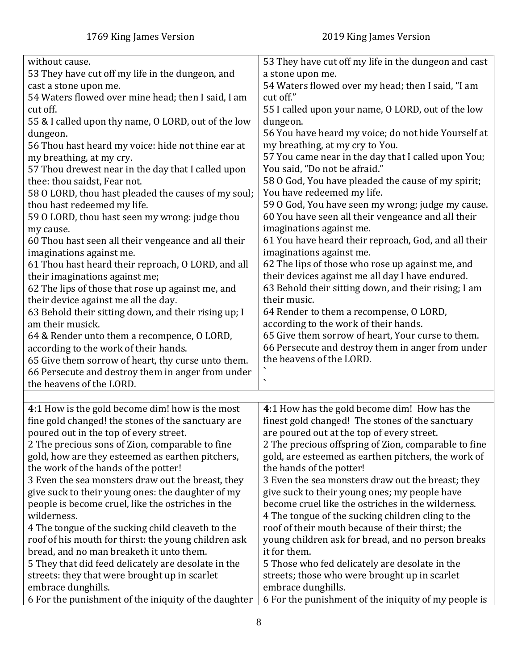<span id="page-7-0"></span>

| without cause.                                                                              | 53 They have cut off my life in the dungeon and cast                |
|---------------------------------------------------------------------------------------------|---------------------------------------------------------------------|
| 53 They have cut off my life in the dungeon, and                                            | a stone upon me.                                                    |
| cast a stone upon me.                                                                       | 54 Waters flowed over my head; then I said, "I am                   |
| 54 Waters flowed over mine head; then I said, I am                                          | cut off."                                                           |
| cut off.                                                                                    | 55 I called upon your name, O LORD, out of the low                  |
| 55 & I called upon thy name, O LORD, out of the low                                         | dungeon.                                                            |
| dungeon.                                                                                    | 56 You have heard my voice; do not hide Yourself at                 |
| 56 Thou hast heard my voice: hide not thine ear at                                          | my breathing, at my cry to You.                                     |
| my breathing, at my cry.                                                                    | 57 You came near in the day that I called upon You;                 |
| 57 Thou drewest near in the day that I called upon                                          | You said, "Do not be afraid."                                       |
| thee: thou saidst, Fear not.                                                                | 58 O God, You have pleaded the cause of my spirit;                  |
| 58 O LORD, thou hast pleaded the causes of my soul;                                         | You have redeemed my life.                                          |
| thou hast redeemed my life.                                                                 | 59 O God, You have seen my wrong; judge my cause.                   |
| 59 O LORD, thou hast seen my wrong: judge thou                                              | 60 You have seen all their vengeance and all their                  |
| my cause.                                                                                   | imaginations against me.                                            |
| 60 Thou hast seen all their vengeance and all their                                         | 61 You have heard their reproach, God, and all their                |
| imaginations against me.                                                                    | imaginations against me.                                            |
| 61 Thou hast heard their reproach, O LORD, and all                                          | 62 The lips of those who rose up against me, and                    |
| their imaginations against me;                                                              | their devices against me all day I have endured.                    |
| 62 The lips of those that rose up against me, and                                           | 63 Behold their sitting down, and their rising; I am                |
| their device against me all the day.                                                        | their music.                                                        |
| 63 Behold their sitting down, and their rising up; I                                        | 64 Render to them a recompense, O LORD,                             |
| am their musick.                                                                            | according to the work of their hands.                               |
| 64 & Render unto them a recompence, O LORD,                                                 | 65 Give them sorrow of heart, Your curse to them.                   |
|                                                                                             | 66 Persecute and destroy them in anger from under                   |
| according to the work of their hands.<br>65 Give them sorrow of heart, thy curse unto them. | the heavens of the LORD.                                            |
|                                                                                             |                                                                     |
| 66 Persecute and destroy them in anger from under<br>the heavens of the LORD.               | $\overline{\phantom{a}}$                                            |
|                                                                                             |                                                                     |
| 4:1 How is the gold become dim! how is the most                                             | 4:1 How has the gold become dim! How has the                        |
| fine gold changed! the stones of the sanctuary are                                          | finest gold changed! The stones of the sanctuary                    |
| poured out in the top of every street.                                                      | are poured out at the top of every street.                          |
| 2 The precious sons of Zion, comparable to fine                                             | 2 The precious offspring of Zion, comparable to fine                |
| gold, how are they esteemed as earthen pitchers,                                            | gold, are esteemed as earthen pitchers, the work of                 |
| the work of the hands of the potter!                                                        | the hands of the potter!                                            |
| 3 Even the sea monsters draw out the breast, they                                           | 3 Even the sea monsters draw out the breast; they                   |
| give suck to their young ones: the daughter of my                                           | give suck to their young ones; my people have                       |
| people is become cruel, like the ostriches in the                                           | become cruel like the ostriches in the wilderness.                  |
| wilderness.                                                                                 | 4 The tongue of the sucking children cling to the                   |
| 4 The tongue of the sucking child cleaveth to the                                           | roof of their mouth because of their thirst; the                    |
| roof of his mouth for thirst: the young children ask                                        | young children ask for bread, and no person breaks                  |
| bread, and no man breaketh it unto them.                                                    | it for them.                                                        |
| 5 They that did feed delicately are desolate in the                                         | 5 Those who fed delicately are desolate in the                      |
| streets: they that were brought up in scarlet                                               |                                                                     |
| embrace dunghills.                                                                          | streets; those who were brought up in scarlet<br>embrace dunghills. |
|                                                                                             |                                                                     |
| 6 For the punishment of the iniquity of the daughter                                        | 6 For the punishment of the iniquity of my people is                |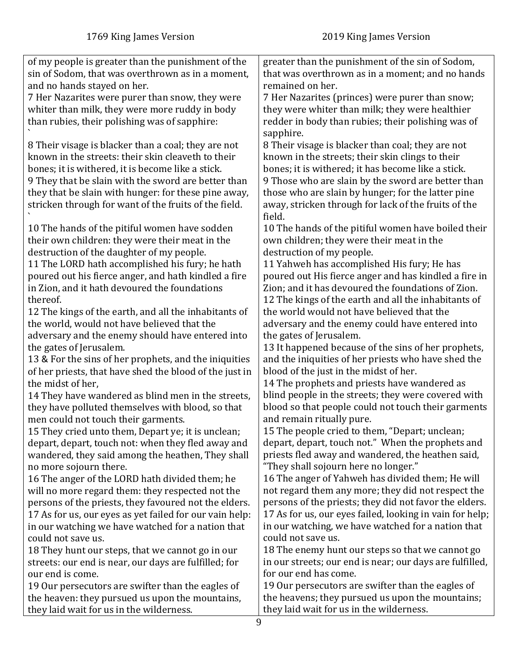| of my people is greater than the punishment of the      | greater than the punishment of the sin of Sodom,         |
|---------------------------------------------------------|----------------------------------------------------------|
| sin of Sodom, that was overthrown as in a moment,       | that was overthrown as in a moment; and no hands         |
| and no hands stayed on her.                             | remained on her.                                         |
| 7 Her Nazarites were purer than snow, they were         | 7 Her Nazarites (princes) were purer than snow;          |
| whiter than milk, they were more ruddy in body          | they were whiter than milk; they were healthier          |
| than rubies, their polishing was of sapphire:           | redder in body than rubies; their polishing was of       |
|                                                         | sapphire.                                                |
| 8 Their visage is blacker than a coal; they are not     | 8 Their visage is blacker than coal; they are not        |
| known in the streets: their skin cleaveth to their      | known in the streets; their skin clings to their         |
| bones; it is withered, it is become like a stick.       | bones; it is withered; it has become like a stick.       |
| 9 They that be slain with the sword are better than     | 9 Those who are slain by the sword are better than       |
| they that be slain with hunger: for these pine away,    | those who are slain by hunger; for the latter pine       |
| stricken through for want of the fruits of the field.   | away, stricken through for lack of the fruits of the     |
|                                                         | field.                                                   |
| 10 The hands of the pitiful women have sodden           | 10 The hands of the pitiful women have boiled their      |
| their own children: they were their meat in the         | own children; they were their meat in the                |
| destruction of the daughter of my people.               | destruction of my people.                                |
| 11 The LORD hath accomplished his fury; he hath         | 11 Yahweh has accomplished His fury; He has              |
| poured out his fierce anger, and hath kindled a fire    | poured out His fierce anger and has kindled a fire in    |
| in Zion, and it hath devoured the foundations           | Zion; and it has devoured the foundations of Zion.       |
| thereof.                                                | 12 The kings of the earth and all the inhabitants of     |
| 12 The kings of the earth, and all the inhabitants of   | the world would not have believed that the               |
| the world, would not have believed that the             | adversary and the enemy could have entered into          |
| adversary and the enemy should have entered into        | the gates of Jerusalem.                                  |
| the gates of Jerusalem.                                 | 13 It happened because of the sins of her prophets,      |
| 13 & For the sins of her prophets, and the iniquities   | and the iniquities of her priests who have shed the      |
| of her priests, that have shed the blood of the just in | blood of the just in the midst of her.                   |
| the midst of her,                                       | 14 The prophets and priests have wandered as             |
| 14 They have wandered as blind men in the streets,      | blind people in the streets; they were covered with      |
| they have polluted themselves with blood, so that       | blood so that people could not touch their garments      |
| men could not touch their garments.                     | and remain ritually pure.                                |
| 15 They cried unto them, Depart ye; it is unclean;      | 15 The people cried to them, "Depart; unclean;           |
| depart, depart, touch not: when they fled away and      | depart, depart, touch not." When the prophets and        |
| wandered, they said among the heathen, They shall       | priests fled away and wandered, the heathen said,        |
| no more sojourn there.                                  | "They shall sojourn here no longer."                     |
| 16 The anger of the LORD hath divided them; he          | 16 The anger of Yahweh has divided them; He will         |
| will no more regard them: they respected not the        | not regard them any more; they did not respect the       |
| persons of the priests, they favoured not the elders.   | persons of the priests; they did not favor the elders.   |
| 17 As for us, our eyes as yet failed for our vain help: | 17 As for us, our eyes failed, looking in vain for help; |
| in our watching we have watched for a nation that       | in our watching, we have watched for a nation that       |
| could not save us.                                      | could not save us.                                       |
| 18 They hunt our steps, that we cannot go in our        | 18 The enemy hunt our steps so that we cannot go         |
| streets: our end is near, our days are fulfilled; for   | in our streets; our end is near; our days are fulfilled, |
| our end is come.                                        | for our end has come.                                    |
| 19 Our persecutors are swifter than the eagles of       | 19 Our persecutors are swifter than the eagles of        |
| the heaven: they pursued us upon the mountains,         | the heavens; they pursued us upon the mountains;         |
| they laid wait for us in the wilderness.                | they laid wait for us in the wilderness.                 |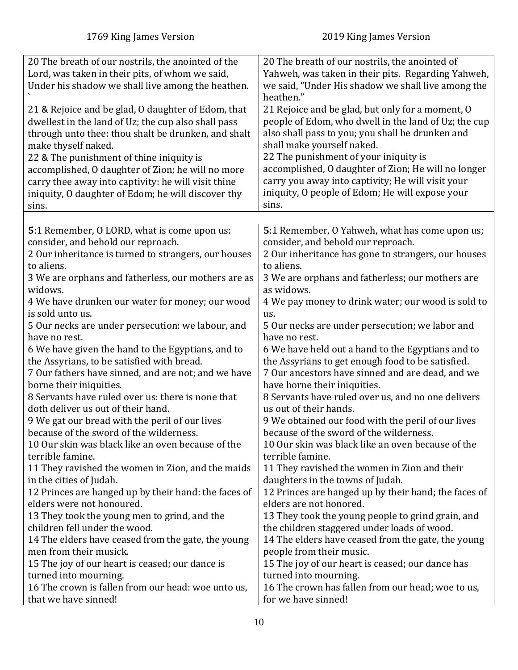<span id="page-9-0"></span>

| 20 The breath of our nostrils, the anointed of the<br>Lord, was taken in their pits, of whom we said,      | 20 The breath of our nostrils, the anointed of<br>Yahweh, was taken in their pits. Regarding Yahweh,     |
|------------------------------------------------------------------------------------------------------------|----------------------------------------------------------------------------------------------------------|
| Under his shadow we shall live among the heathen.                                                          | we said, "Under His shadow we shall live among the<br>heathen."                                          |
| 21 & Rejoice and be glad, O daughter of Edom, that                                                         | 21 Rejoice and be glad, but only for a moment, O                                                         |
| dwellest in the land of Uz; the cup also shall pass<br>through unto thee: thou shalt be drunken, and shalt | people of Edom, who dwell in the land of Uz; the cup<br>also shall pass to you; you shall be drunken and |
| make thyself naked.                                                                                        | shall make yourself naked.                                                                               |
| 22 & The punishment of thine iniquity is                                                                   | 22 The punishment of your iniquity is                                                                    |
| accomplished, O daughter of Zion; he will no more                                                          | accomplished, O daughter of Zion; He will no longer                                                      |
| carry thee away into captivity: he will visit thine                                                        | carry you away into captivity; He will visit your                                                        |
| iniquity, O daughter of Edom; he will discover thy                                                         | iniquity, O people of Edom; He will expose your                                                          |
| sins.                                                                                                      | sins.                                                                                                    |
|                                                                                                            |                                                                                                          |
| 5:1 Remember, O LORD, what is come upon us:<br>consider, and behold our reproach.                          | 5:1 Remember, O Yahweh, what has come upon us;<br>consider, and behold our reproach.                     |
| 2 Our inheritance is turned to strangers, our houses                                                       | 2 Our inheritance has gone to strangers, our houses                                                      |
| to aliens.                                                                                                 | to aliens.                                                                                               |
| 3 We are orphans and fatherless, our mothers are as                                                        | 3 We are orphans and fatherless; our mothers are                                                         |
| widows.                                                                                                    | as widows.                                                                                               |
| 4 We have drunken our water for money; our wood                                                            | 4 We pay money to drink water; our wood is sold to                                                       |
| is sold unto us.                                                                                           | us.                                                                                                      |
| 5 Our necks are under persecution: we labour, and<br>have no rest.                                         | 5 Our necks are under persecution; we labor and<br>have no rest.                                         |
| 6 We have given the hand to the Egyptians, and to                                                          | 6 We have held out a hand to the Egyptians and to                                                        |
| the Assyrians, to be satisfied with bread.                                                                 | the Assyrians to get enough food to be satisfied.                                                        |
| 7 Our fathers have sinned, and are not; and we have                                                        | 7 Our ancestors have sinned and are dead, and we                                                         |
| borne their iniquities.                                                                                    | have borne their iniquities.                                                                             |
| 8 Servants have ruled over us: there is none that                                                          | 8 Servants have ruled over us, and no one delivers                                                       |
| doth deliver us out of their hand.                                                                         | us out of their hands.                                                                                   |
| 9 We gat our bread with the peril of our lives                                                             | 9 We obtained our food with the peril of our lives                                                       |
| because of the sword of the wilderness.                                                                    | because of the sword of the wilderness.                                                                  |
| 10 Our skin was black like an oven because of the<br>terrible famine.                                      | 10 Our skin was black like an oven because of the<br>terrible famine.                                    |
| 11 They ravished the women in Zion, and the maids                                                          | 11 They ravished the women in Zion and their                                                             |
| in the cities of Judah.                                                                                    | daughters in the towns of Judah.                                                                         |
| 12 Princes are hanged up by their hand: the faces of                                                       | 12 Princes are hanged up by their hand; the faces of                                                     |
| elders were not honoured.                                                                                  | elders are not honored.                                                                                  |
| 13 They took the young men to grind, and the                                                               | 13 They took the young people to grind grain, and                                                        |
| children fell under the wood.                                                                              | the children staggered under loads of wood.                                                              |
| 14 The elders have ceased from the gate, the young                                                         | 14 The elders have ceased from the gate, the young                                                       |
| men from their musick.                                                                                     | people from their music.                                                                                 |
| 15 The joy of our heart is ceased; our dance is<br>turned into mourning.                                   | 15 The joy of our heart is ceased; our dance has<br>turned into mourning.                                |
| 16 The crown is fallen from our head: woe unto us,                                                         | 16 The crown has fallen from our head; woe to us,                                                        |
| that we have sinned!                                                                                       | for we have sinned!                                                                                      |